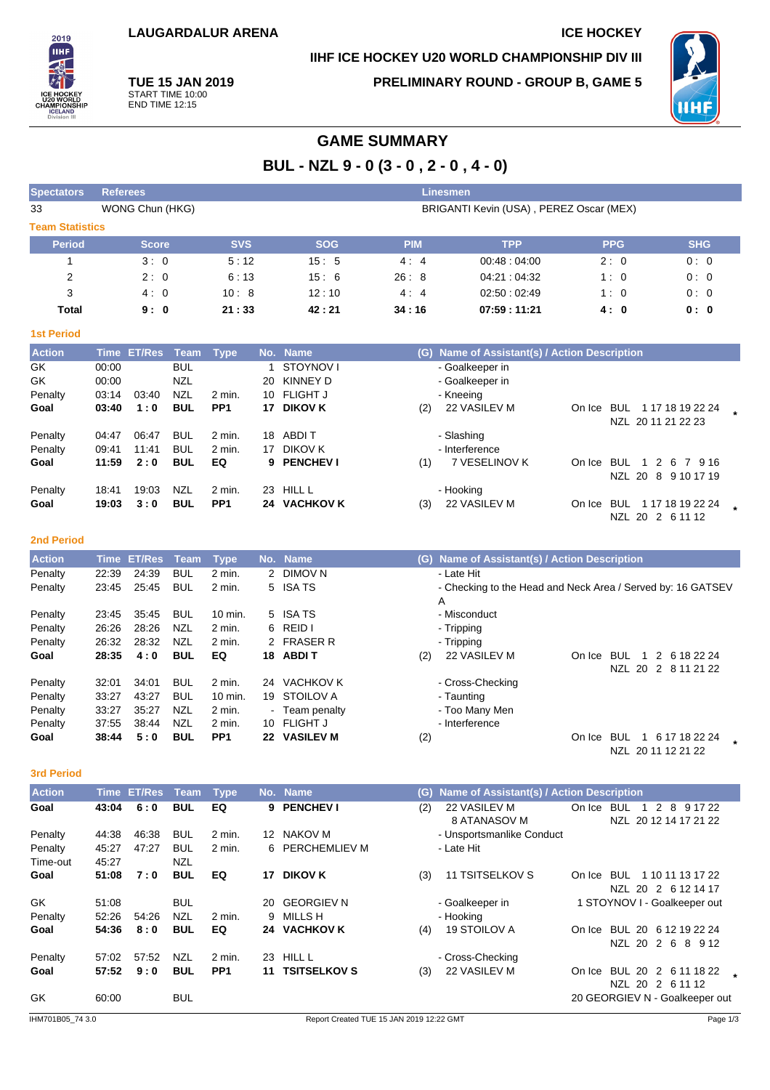# **IIHF ICE HOCKEY U20 WORLD CHAMPIONSHIP DIV III**



**TUE 15 JAN 2019** START TIME 10:00 END TIME 12:15

**PRELIMINARY ROUND - GROUP B, GAME 5**



# **GAME SUMMARY**

**BUL - NZL 9 - 0 (3 - 0 , 2 - 0 , 4 - 0)**

| <b>Spectators</b>      | Linesmen<br><b>Referees</b> |                                                            |                          |                             |    |                                |            |                                                                  |            |                              |  |
|------------------------|-----------------------------|------------------------------------------------------------|--------------------------|-----------------------------|----|--------------------------------|------------|------------------------------------------------------------------|------------|------------------------------|--|
| 33                     |                             | WONG Chun (HKG)<br>BRIGANTI Kevin (USA), PEREZ Oscar (MEX) |                          |                             |    |                                |            |                                                                  |            |                              |  |
| <b>Team Statistics</b> |                             |                                                            |                          |                             |    |                                |            |                                                                  |            |                              |  |
| <b>Period</b>          |                             | <b>Score</b>                                               |                          | <b>SVS</b>                  |    | <b>SOG</b>                     | <b>PIM</b> | <b>TPP</b>                                                       | <b>PPG</b> | <b>SHG</b>                   |  |
| 1                      |                             | 3:0                                                        |                          | 5:12                        |    | 15:5                           | 4:4        | 00:48:04:00                                                      | 2:0        | 0:0                          |  |
| 2                      |                             | 2:0                                                        |                          | 6:13                        |    | 15:6                           | 26:8       | 04:21:04:32                                                      | 1:0        | 0:0                          |  |
| 3                      |                             | 4:0                                                        |                          | 10:8                        |    | 12:10                          | 4:4        | 02:50:02:49                                                      | 1:0        | 0:0                          |  |
| Total                  |                             | 9:0                                                        |                          | 21:33                       |    | 42:21                          | 34:16      | 07:59:11:21                                                      | 4:0        | 0: 0                         |  |
|                        |                             |                                                            |                          |                             |    |                                |            |                                                                  |            |                              |  |
| <b>1st Period</b>      |                             |                                                            |                          |                             |    |                                |            |                                                                  |            |                              |  |
| <b>Action</b>          |                             | Time ET/Res                                                | Team                     | <b>Type</b>                 |    | No. Name                       |            | (G) Name of Assistant(s) / Action Description                    |            |                              |  |
| GK                     | 00:00                       |                                                            | <b>BUL</b>               |                             | 1  | STOYNOV I                      |            | - Goalkeeper in                                                  |            |                              |  |
| GK                     | 00:00                       |                                                            | <b>NZL</b><br><b>NZL</b> |                             | 20 | <b>KINNEY D</b>                |            | - Goalkeeper in                                                  |            |                              |  |
| Penalty<br>Goal        | 03:14<br>03:40              | 03:40<br>1:0                                               | <b>BUL</b>               | $2$ min.<br>PP <sub>1</sub> | 10 | <b>FLIGHT J</b><br>17 DIKOV K  | (2)        | - Kneeing<br>22 VASILEV M                                        |            | On Ice BUL 117 18 19 22 24   |  |
|                        |                             |                                                            |                          |                             |    |                                |            |                                                                  |            | NZL 20 11 21 22 23           |  |
| Penalty                | 04:47                       | 06:47                                                      | <b>BUL</b>               | 2 min.                      |    | 18 ABDIT                       |            | - Slashing                                                       |            |                              |  |
| Penalty                | 09:41                       | 11:41                                                      | <b>BUL</b>               | $2$ min.                    |    | 17 DIKOV K                     |            | - Interference                                                   |            |                              |  |
| Goal                   | 11:59                       | 2:0                                                        | <b>BUL</b>               | EQ                          | 9  | <b>PENCHEV I</b>               | (1)        | 7 VESELINOV K                                                    |            | On Ice BUL 1 2 6 7 9 16      |  |
|                        |                             |                                                            |                          |                             |    |                                |            |                                                                  |            | NZL 20 8 9 10 17 19          |  |
| Penalty                | 18:41                       | 19:03                                                      | NZL                      | 2 min.                      |    | 23 HILL L                      |            | - Hooking                                                        |            |                              |  |
| Goal                   | 19:03                       | 3:0                                                        | <b>BUL</b>               | PP <sub>1</sub>             |    | 24 VACHKOV K                   | (3)        | 22 VASILEV M                                                     |            | On Ice BUL 117 18 19 22 24   |  |
|                        |                             |                                                            |                          |                             |    |                                |            |                                                                  |            | NZL 20 2 6 11 12             |  |
| <b>2nd Period</b>      |                             |                                                            |                          |                             |    |                                |            |                                                                  |            |                              |  |
|                        |                             |                                                            |                          |                             |    |                                |            |                                                                  |            |                              |  |
| <b>Action</b>          | <b>Time</b>                 | <b>ET/Res</b>                                              | <b>Team</b>              | <b>Type</b>                 |    | No. Name                       |            | (G) Name of Assistant(s) / Action Description                    |            |                              |  |
| Penalty                | 22:39<br>23:45              | 24:39<br>25:45                                             | <b>BUL</b><br><b>BUL</b> | $2$ min.<br>2 min.          |    | 2 DIMOV N<br>5 ISA TS          |            | - Late Hit                                                       |            |                              |  |
| Penalty                |                             |                                                            |                          |                             |    |                                |            | - Checking to the Head and Neck Area / Served by: 16 GATSEV<br>A |            |                              |  |
| Penalty                | 23:45                       | 35:45                                                      | <b>BUL</b>               | 10 min.                     | 5  | ISA TS                         |            | - Misconduct                                                     |            |                              |  |
| Penalty                | 26:26                       | 28:26                                                      | <b>NZL</b>               | 2 min.                      | 6  | REID I                         |            | - Tripping                                                       |            |                              |  |
| Penalty                | 26:32                       | 28:32                                                      | <b>NZL</b>               | 2 min.                      | 2  | <b>FRASER R</b>                |            | - Tripping                                                       |            |                              |  |
| Goal                   | 28:35                       | 4:0                                                        | <b>BUL</b>               | EQ                          |    | 18 ABDIT                       | (2)        | 22 VASILEV M                                                     | On Ice BUL | 1 2 6 18 22 24               |  |
|                        |                             |                                                            |                          |                             |    |                                |            |                                                                  |            | NZL 20 2 8 11 21 22          |  |
| Penalty                | 32:01                       | 34:01                                                      | <b>BUL</b>               | $2$ min.                    |    | 24 VACHKOV K                   |            | - Cross-Checking                                                 |            |                              |  |
| Penalty                | 33:27                       | 43:27                                                      | <b>BUL</b>               | 10 min.                     |    | 19 STOILOV A                   |            | - Taunting                                                       |            |                              |  |
| Penalty                | 33:27                       | 35:27                                                      | <b>NZL</b>               | 2 min.                      |    | Team penalty                   |            | - Too Many Men                                                   |            |                              |  |
| Penalty                | 37:55                       | 38:44                                                      | <b>NZL</b>               | 2 min.                      |    | 10 FLIGHT J                    |            | - Interference                                                   |            |                              |  |
| Goal                   | 38:44                       | 5:0                                                        | <b>BUL</b>               | PP <sub>1</sub>             |    | 22 VASILEV M                   | (2)        |                                                                  |            | On Ice BUL 1 6 17 18 22 24   |  |
|                        |                             |                                                            |                          |                             |    |                                |            |                                                                  |            | NZL 20 11 12 21 22           |  |
| <b>3rd Period</b>      |                             |                                                            |                          |                             |    |                                |            |                                                                  |            |                              |  |
| <b>Action</b>          | <b>Time</b>                 | <b>ET/Res</b>                                              | Team                     | <b>Type</b>                 |    | No. Name                       |            | (G) Name of Assistant(s) / Action Description                    |            |                              |  |
| Goal                   | 43:04                       | 6:0                                                        | <b>BUL</b>               | EQ                          |    | 9 PENCHEV I                    | (2)        | 22 VASILEV M                                                     |            | On Ice BUL 1 2 8 9 17 22     |  |
|                        |                             |                                                            |                          |                             |    |                                |            | 8 ATANASOV M                                                     |            | NZL 20 12 14 17 21 22        |  |
| Penalty                | 44:38                       | 46:38                                                      | <b>BUL</b>               | 2 min.                      |    | 12 NAKOV M                     |            | - Unsportsmanlike Conduct                                        |            |                              |  |
| Penalty                | 45:27                       | 47:27                                                      | <b>BUL</b>               | 2 min.                      | 6  | <b>PERCHEMLIEV M</b>           |            | - Late Hit                                                       |            |                              |  |
| Time-out               | 45:27                       |                                                            | <b>NZL</b>               |                             |    |                                |            |                                                                  |            |                              |  |
| Goal                   | 51:08                       | 7:0                                                        | <b>BUL</b>               | EQ                          |    | 17 DIKOV K                     | (3)        | 11 TSITSELKOV S                                                  |            | On Ice BUL 1 10 11 13 17 22  |  |
|                        |                             |                                                            |                          |                             |    |                                |            |                                                                  |            | NZL 20 2 6 12 14 17          |  |
| GK                     | 51:08                       |                                                            | <b>BUL</b>               |                             | 20 | <b>GEORGIEV N</b>              |            | - Goalkeeper in                                                  |            | 1 STOYNOV I - Goalkeeper out |  |
| Penalty                | 52:26                       | 54:26                                                      | <b>NZL</b><br><b>BUL</b> | 2 min.<br>EQ                | 9  | <b>MILLS H</b><br>24 VACHKOV K |            | - Hooking<br>19 STOILOV A                                        |            | On Ice BUL 20 6 12 19 22 24  |  |
| Goal                   | 54:36                       | 8:0                                                        |                          |                             |    |                                | (4)        |                                                                  |            | NZL 20 2 6 8 9 12            |  |
| Penalty                | 57:02                       | 57:52                                                      | NZL                      | 2 min.                      |    | 23 HILL L                      |            | - Cross-Checking                                                 |            |                              |  |
| Goal                   | 57:52                       | 9:0                                                        | <b>BUL</b>               | PP <sub>1</sub>             |    | 11 TSITSELKOV S                | (3)        | 22 VASILEV M                                                     |            | On Ice BUL 20 2 6 11 18 22   |  |
|                        |                             |                                                            |                          |                             |    |                                |            |                                                                  |            |                              |  |

NZL 20 2 6 11 12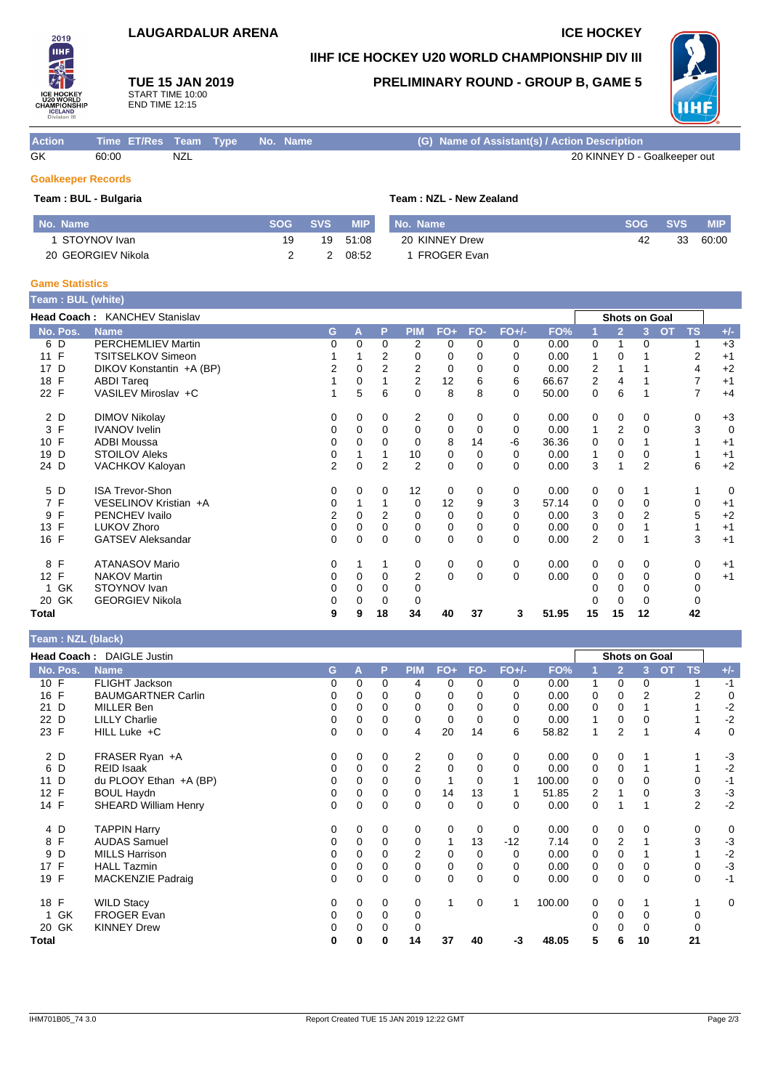### **LAUGARDALUR ARENA ICE HOCKEY**

## **IIHF ICE HOCKEY U20 WORLD CHAMPIONSHIP DIV III**

**TUE 15 JAN 2019** START TIME 10:00 END TIME 12:15

### **PRELIMINARY ROUND - GROUP B, GAME 5**



| <b>Action</b> | Time ET/Res Team Type No. Name |     |  | (G) Name of Assistant(s) / Action Description |
|---------------|--------------------------------|-----|--|-----------------------------------------------|
| GK            | 60:00                          | NZL |  | 20 KINNEY D - Goalkeeper out                  |

## **Goalkeeper Records**

2019 **THE** 

#### **Team : BUL - Bulgaria Team : NZL - New Zealand**

| No. Name           | $\sf SOG$ . | <b>SVS</b> | <b>MIP</b> | No. Name       | <b>SOG</b> | <b>SVS</b> | <b>MIP</b> |
|--------------------|-------------|------------|------------|----------------|------------|------------|------------|
| STOYNOV Ivan       | 19          | 19         | 51:08      | 20 KINNEY Drew | 42         | 33         | 60:00      |
| 20 GEORGIEV Nikola |             |            | 08:52      | FROGER Evan    |            |            |            |

#### **Game Statistics**

| Team : BUL (white)   |                               |                |          |                |                |             |          |          |       |    |                |                |                        |                |
|----------------------|-------------------------------|----------------|----------|----------------|----------------|-------------|----------|----------|-------|----|----------------|----------------|------------------------|----------------|
|                      | Head Coach: KANCHEV Stanislav |                |          |                |                |             |          |          |       |    | Shots on Goal  |                |                        |                |
| No. Pos.             | <b>Name</b>                   | G              | A        | P              | <b>PIM</b>     | $FO+$       | FO-      | $FO+/-$  | FO%   |    | $\overline{2}$ | 3              | <b>TS</b><br><b>OT</b> | $+/-$          |
| 6 D                  | <b>PERCHEMLIEV Martin</b>     | 0              | 0        | $\Omega$       | 2              | 0           | 0        | 0        | 0.00  | 0  | 1              | 0              |                        | $+3$           |
| 11 F                 | TSITSELKOV Simeon             |                |          | 2              | 0              | $\mathbf 0$ | 0        | $\Omega$ | 0.00  | 1  | $\Omega$       |                | 2                      | $+1$           |
| D<br>17              | DIKOV Konstantin +A (BP)      | 2              | 0        | $\overline{2}$ | 2              | 0           | 0        | 0        | 0.00  | 2  |                |                | 4                      | $+2$           |
| 18 F                 | <b>ABDI Tareg</b>             |                | 0        |                | 2              | 12          | 6        | 6        | 66.67 | 2  | 4              |                |                        | $+1$           |
| 22 F                 | VASILEV Miroslav +C           |                | 5        | 6              | $\Omega$       | 8           | 8        | $\Omega$ | 50.00 | 0  | 6              |                | 7                      | $+4$           |
| 2 D                  | <b>DIMOV Nikolay</b>          | 0              | $\Omega$ | 0              | 2              | 0           | 0        | 0        | 0.00  | 0  | 0              | 0              | 0                      | $+3$           |
| 3 F                  | <b>IVANOV</b> Ivelin          | 0              | 0        | 0              | 0              | 0           | 0        | 0        | 0.00  | 1  | $\overline{2}$ | 0              | 3                      | $\mathbf 0$    |
| 10 F                 | <b>ADBI Moussa</b>            | 0              | 0        | 0              | $\Omega$       | 8           | 14       | -6       | 36.36 | 0  | $\Omega$       |                |                        | $+1$           |
| D<br>19              | <b>STOILOV Aleks</b>          | 0              |          |                | 10             | 0           | 0        | 0        | 0.00  |    | 0              | 0              |                        | $+1$           |
| 24 D                 | VACHKOV Kaloyan               | $\overline{2}$ | $\Omega$ | $\overline{2}$ | 2              | $\mathbf 0$ | $\Omega$ | $\Omega$ | 0.00  | 3  |                | $\overline{2}$ | 6                      | $+2$           |
| 5 D                  | <b>ISA Trevor-Shon</b>        | 0              | 0        | 0              | 12             | 0           | 0        | 0        | 0.00  | 0  | $\mathbf 0$    |                | 1                      | $\overline{0}$ |
| 7 F                  | VESELINOV Kristian +A         | 0              |          |                | 0              | 12          | 9        | 3        | 57.14 | 0  | 0              | 0              | 0                      | $+1$           |
| F<br>9               | PENCHEV Ivailo                | 2              | 0        | 2              | 0              | $\mathbf 0$ | 0        | $\Omega$ | 0.00  | 3  | $\Omega$       | $\overline{2}$ | 5                      | $+2$           |
| 13 <sup>2</sup><br>F | LUKOV Zhoro                   | 0              | 0        | 0              | 0              | 0           | 0        | 0        | 0.00  | 0  | 0              |                |                        | $+1$           |
| 16 F                 | <b>GATSEV Aleksandar</b>      | 0              | $\Omega$ | $\Omega$       | $\Omega$       | 0           | $\Omega$ | $\Omega$ | 0.00  | 2  | 0              |                | 3                      | $+1$           |
| 8 F                  | <b>ATANASOV Mario</b>         | 0              |          |                | 0              | 0           | 0        | 0        | 0.00  | 0  | $\mathbf 0$    | 0              | 0                      | $+1$           |
| 12 F                 | <b>NAKOV Martin</b>           | 0              | 0        | $\Omega$       | $\overline{2}$ | $\mathbf 0$ | $\Omega$ | $\Omega$ | 0.00  | 0  | 0              | 0              | 0                      | $+1$           |
| GK                   | STOYNOV Ivan                  | 0              | 0        | 0              | 0              |             |          |          |       |    | 0              | 0              | 0                      |                |
| 20 GK                | <b>GEORGIEV Nikola</b>        | 0              | 0        | 0              | 0              |             |          |          |       |    | 0              | 0              |                        |                |
| Total                |                               | 9              | 9        | 18             | 34             | 40          | 37       | 3        | 51.95 | 15 | 15             | 12             | 42                     |                |

#### **Team : NZL (black) Head Coach :** DAIGLE Justin **Shots on Goal No. Pos. Name G A P PIM FO+ FO- FO+/- FO% 1 2 3 OT TS +/-** 10 F FLIGHT Jackson 0 0 0 4 0 0 0 0.00 1 0 0 1 -1 16 FAUMGARTNER Carlin 2000 0 0 0 0 0 0 0 0 0 0 0 0 0 0 0 2 2 2 21 D MILLER Ben 0 0 0 0 0 0 0 0.00 0 0 1 1 -2 22 D LILLY Charlie 0 0 0 0 0 0 0 0.00 1 0 0 1 -2 23 F HILL Luke +C 0 0 0 4 20 14 6 58.82 1 2 1 4 0 2 D FRASER Ryan +A 0 0 0 2 0 0 0 0.00 0 0 1 1 -3 6 D REID Isaak 0 0 0 2 0 0 0 0.00 0 0 1 1 -2 11 D du PLOOY Ethan +A (BP) 0 0 0 0 0 1 0 1 100.00 0 0 0 0 -1<br>12 F BOUL Haydn 0 0 0 0 0 14 13 1 51.85 2 1 0 3 -3 12 F BOUL Haydn 0 0 0 0 14 13 1 51.85 2 1 0 3 -3 14 F SHEARD William Henry 0 0 0 0 0 0 0 0 0 0 0 0 0 1 1 2 -2 4 D TAPPIN Harry 0 0 0 0 0 0 0 0.00 0 0 0 0 0 8 F AUDAS Samuel 0 0 0 0 1 13 -12 7.14 0 2 1 3 -3 9 D MILLS Harrison 0 0 0 2 0 0 0 0.00 0 0 1 1 -2 17 F HALL Tazmin 0 0 0 0 0 0 0 0.00 0 0 0 0 -3 19 F MACKENZIE Padraig 0 0 0 0 0 0 0 0.00 0 0 0 0 -1 18 F WILD Stacy 0 0 0 0 1 0 1 100.00 0 0 1 1 0 1 GK FROGER Evan 0 0 0 0 0 0 0 0 20 GK KINNEY Drew 0 0 0 0 0 0 0 0 **Total 0 0 0 14 37 40 -3 48.05 5 6 10 21**